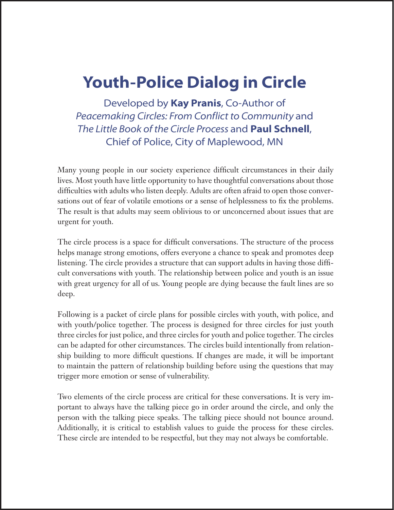# **Youth-Police Dialog in Circle**

Developed by **Kay Pranis**, Co-Author of *Peacemaking Circles: From Conflict to Community* and *The Little Book of the Circle Process* and **Paul Schnell**, Chief of Police, City of Maplewood, MN

Many young people in our society experience difficult circumstances in their daily lives. Most youth have little opportunity to have thoughtful conversations about those difficulties with adults who listen deeply. Adults are often afraid to open those conversations out of fear of volatile emotions or a sense of helplessness to fix the problems. The result is that adults may seem oblivious to or unconcerned about issues that are urgent for youth.

The circle process is a space for difficult conversations. The structure of the process helps manage strong emotions, offers everyone a chance to speak and promotes deep listening. The circle provides a structure that can support adults in having those difficult conversations with youth. The relationship between police and youth is an issue with great urgency for all of us. Young people are dying because the fault lines are so deep.

Following is a packet of circle plans for possible circles with youth, with police, and with youth/police together. The process is designed for three circles for just youth three circles for just police, and three circles for youth and police together. The circles can be adapted for other circumstances. The circles build intentionally from relationship building to more difficult questions. If changes are made, it will be important to maintain the pattern of relationship building before using the questions that may trigger more emotion or sense of vulnerability.

Two elements of the circle process are critical for these conversations. It is very important to always have the talking piece go in order around the circle, and only the person with the talking piece speaks. The talking piece should not bounce around. Additionally, it is critical to establish values to guide the process for these circles. These circle are intended to be respectful, but they may not always be comfortable.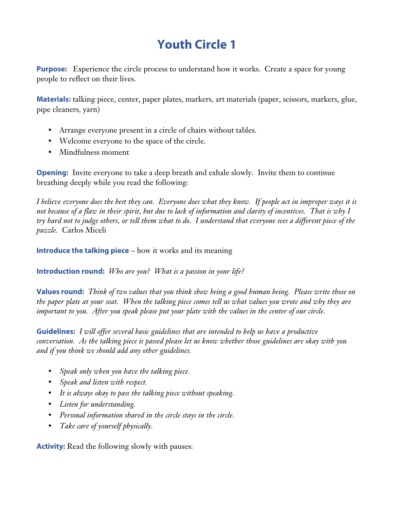# **Youth Circle 1**

**Purpose:** Experience the circle process to understand how it works. Create a space for young people to reflect on their lives.

**Materials:** talking piece, center, paper plates, markers, art materials (paper, scissors, markers, glue, pipe cleaners, yarn)

- Arrange everyone present in a circle of chairs without tables.
- Welcome everyone to the space of the circle.
- Mindfulness moment

**Opening:** Invite everyone to take a deep breath and exhale slowly. Invite them to continue breathing deeply while you read the following:

*I believe everyone does the best they can. Everyone does what they know. If people act in improper ways it is not because of a flaw in their spirit, but due to lack of information and clarity of incentives. That is why I try hard not to judge others, or tell them what to do. I understand that everyone sees a different piece of the puzzle.* Carlos Miceli

**Introduce the talking piece** – how it works and its meaning

**Introduction round:** *Who are you? What is a passion in your life?*

**Values round:** *Think of two values that you think show being a good human being. Please write those on the paper plate at your seat. When the talking piece comes tell us what values you wrote and why they are important to you. After you speak please put your plate with the values in the center of our circle.*

**Guidelines:** *I will offer several basic guidelines that are intended to help us have a productive conversation. As the talking piece is passed please let us know whether those guidelines are okay with you and if you think we should add any other guidelines.*

- *Speak only when you have the talking piece.*
- *Speak and listen with respect.*
- *It is always okay to pass the talking piece without speaking.*
- *Listen for understanding.*
- *Personal information shared in the circle stays in the circle.*
- *Take care of yourself physically.*

**Activity:** Read the following slowly with pauses: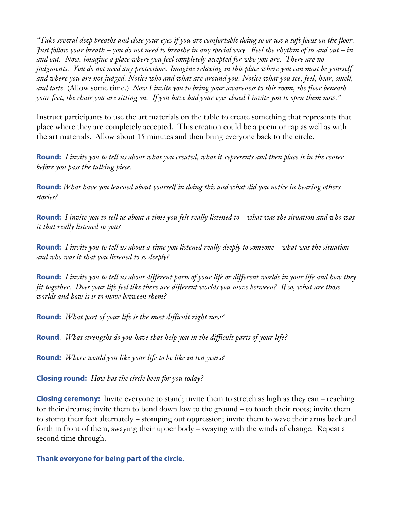*"Take several deep breaths and close your eyes if you are comfortable doing so or use a soft focus on the floor. Just follow your breath – you do not need to breathe in any special way. Feel the rhythm of in and out – in and out. Now, imagine a place where you feel completely accepted for who you are. There are no judgments. You do not need any protections. Imagine relaxing in this place where you can most be yourself and where you are not judged. Notice who and what are around you. Notice what you see, feel, hear, smell, and taste.* (Allow some time.) *Now I invite you to bring your awareness to this room, the floor beneath your feet, the chair you are sitting on. If you have had your eyes closed I invite you to open them now."*

Instruct participants to use the art materials on the table to create something that represents that place where they are completely accepted. This creation could be a poem or rap as well as with the art materials. Allow about 15 minutes and then bring everyone back to the circle.

**Round:** *I invite you to tell us about what you created, what it represents and then place it in the center before you pass the talking piece.*

**Round:** *What have you learned about yourself in doing this and what did you notice in hearing others stories?*

**Round:** *I invite you to tell us about a time you felt really listened to – what was the situation and who was it that really listened to you?*

**Round:** *I invite you to tell us about a time you listened really deeply to someone – what was the situation and who was it that you listened to so deeply?*

**Round:** *I invite you to tell us about different parts of your life or different worlds in your life and how they fit together. Does your life feel like there are different worlds you move between? If so, what are those worlds and how is it to move between them?*

**Round:** *What part of your life is the most difficult right now?*

**Round**: *What strengths do you have that help you in the difficult parts of your life?*

**Round:** *Where would you like your life to be like in ten years?*

**Closing round:** *How has the circle been for you today?*

**Closing ceremony:** Invite everyone to stand; invite them to stretch as high as they can – reaching for their dreams; invite them to bend down low to the ground – to touch their roots; invite them to stomp their feet alternately – stomping out oppression; invite them to wave their arms back and forth in front of them, swaying their upper body – swaying with the winds of change. Repeat a second time through.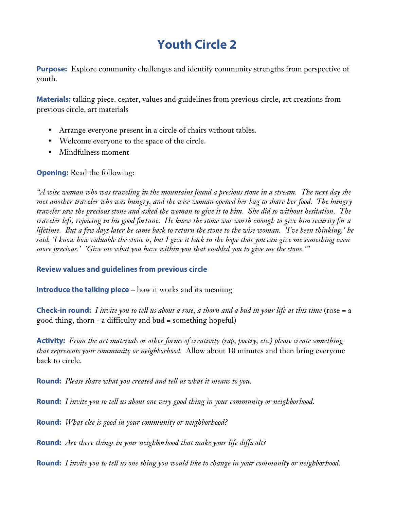# **Youth Circle 2**

**Purpose:** Explore community challenges and identify community strengths from perspective of youth.

**Materials:** talking piece, center, values and guidelines from previous circle, art creations from previous circle, art materials

- Arrange everyone present in a circle of chairs without tables.
- Welcome everyone to the space of the circle.
- Mindfulness moment

### **Opening:** Read the following:

*"A wise woman who was traveling in the mountains found a precious stone in a stream. The next day she met another traveler who was hungry, and the wise woman opened her bag to share her food. The hungry traveler saw the precious stone and asked the woman to give it to him. She did so without hesitation. The traveler left, rejoicing in his good fortune. He knew the stone was worth enough to give him security for a lifetime. But a few days later he came back to return the stone to the wise woman. 'I've been thinking,' he said, 'I know how valuable the stone is, but I give it back in the hope that you can give me something even more precious.' 'Give me what you have within you that enabled you to give me the stone.'"*

### **Review values and guidelines from previous circle**

**Introduce the talking piece** – how it works and its meaning

**Check-in round:** *I invite you to tell us about a rose, a thorn and a bud in your life at this time* (rose = a good thing, thorn - a difficulty and bud = something hopeful)

**Activity:** *From the art materials or other forms of creativity (rap, poetry, etc.) please create something that represents your community or neighborhood.* Allow about 10 minutes and then bring everyone back to circle.

**Round:** *Please share what you created and tell us what it means to you.*

**Round:** *I invite you to tell us about one very good thing in your community or neighborhood.*

**Round:** *What else is good in your community or neighborhood?*

**Round:** *Are there things in your neighborhood that make your life difficult?*

**Round:** *I invite you to tell us one thing you would like to change in your community or neighborhood.*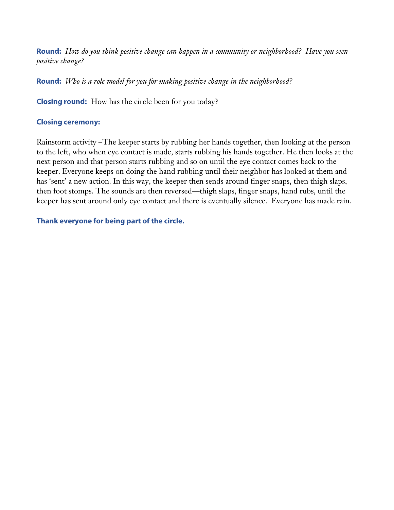**Round:** *How do you think positive change can happen in a community or neighborhood? Have you seen positive change?*

**Round:** *Who is a role model for you for making positive change in the neighborhood?*

**Closing round:** How has the circle been for you today?

### **Closing ceremony:**

Rainstorm activity –The keeper starts by rubbing her hands together, then looking at the person to the left, who when eye contact is made, starts rubbing his hands together. He then looks at the next person and that person starts rubbing and so on until the eye contact comes back to the keeper. Everyone keeps on doing the hand rubbing until their neighbor has looked at them and has 'sent' a new action. In this way, the keeper then sends around finger snaps, then thigh slaps, then foot stomps. The sounds are then reversed—thigh slaps, finger snaps, hand rubs, until the keeper has sent around only eye contact and there is eventually silence. Everyone has made rain.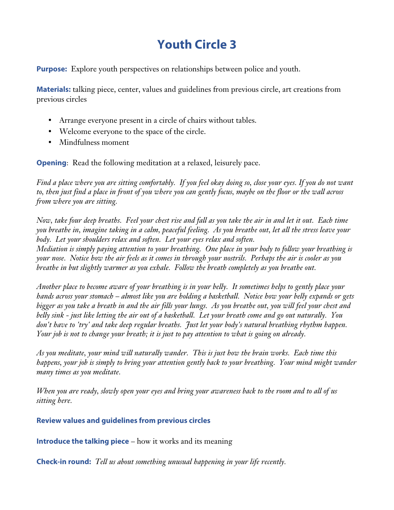# **Youth Circle 3**

**Purpose:** Explore youth perspectives on relationships between police and youth.

**Materials:** talking piece, center, values and guidelines from previous circle, art creations from previous circles

- Arrange everyone present in a circle of chairs without tables.
- Welcome everyone to the space of the circle.
- Mindfulness moment

**Opening**: Read the following meditation at a relaxed, leisurely pace.

*Find a place where you are sitting comfortably. If you feel okay doing so, close your eyes. If you do not want to, then just find a place in front of you where you can gently focus, maybe on the floor or the wall across from where you are sitting.*

*Now, take four deep breaths. Feel your chest rise and fall as you take the air in and let it out. Each time you breathe in, imagine taking in a calm, peaceful feeling. As you breathe out, let all the stress leave your body. Let your shoulders relax and soften. Let your eyes relax and soften.*

*Mediation is simply paying attention to your breathing. One place in your body to follow your breathing is your nose. Notice how the air feels as it comes in through your nostrils. Perhaps the air is cooler as you breathe in but slightly warmer as you exhale. Follow the breath completely as you breathe out.*

*Another place to become aware of your breathing is in your belly. It sometimes helps to gently place your hands across your stomach – almost like you are holding a basketball. Notice how your belly expands or gets bigger as you take a breath in and the air fills your lungs. As you breathe out, you will feel your chest and belly sink - just like letting the air out of a basketball. Let your breath come and go out naturally. You don't have to 'try' and take deep regular breaths. Just let your body's natural breathing rhythm happen. Your job is not to change your breath; it is just to pay attention to what is going on already.*

*As you meditate, your mind will naturally wander. This is just how the brain works. Each time this happens, your job is simply to bring your attention gently back to your breathing. Your mind might wander many times as you meditate.*

*When you are ready, slowly open your eyes and bring your awareness back to the room and to all of us sitting here.*

**Review values and guidelines from previous circles**

**Introduce the talking piece** – how it works and its meaning

**Check-in round:** *Tell us about something unusual happening in your life recently.*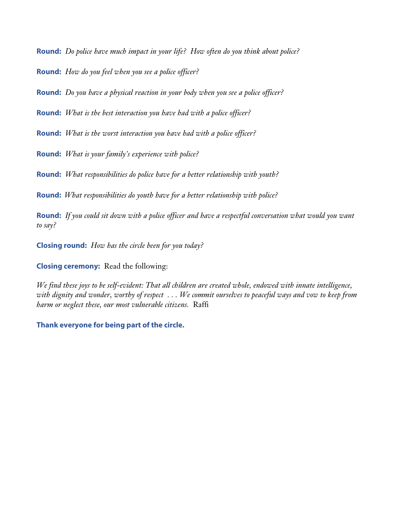**Round:** *Do police have much impact in your life? How often do you think about police?*

**Round:** *How do you feel when you see a police officer?*

**Round:** *Do you have a physical reaction in your body when you see a police officer?*

**Round:** *What is the best interaction you have had with a police officer?*

**Round:** *What is the worst interaction you have had with a police officer?*

**Round:** *What is your family's experience with police?*

**Round:** *What responsibilities do police have for a better relationship with youth?*

**Round:** *What responsibilities do youth have for a better relationship with police?*

**Round:** *If you could sit down with a police officer and have a respectful conversation what would you want to say?*

**Closing round:** *How has the circle been for you today?*

**Closing ceremony:** Read the following:

*We find these joys to be self-evident: That all children are created whole, endowed with innate intelligence, with dignity and wonder, worthy of respect . . . We commit ourselves to peaceful ways and vow to keep from harm or neglect these, our most vulnerable citizens.* Raffi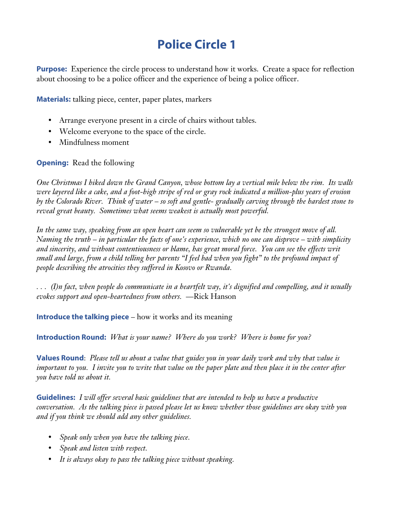# **Police Circle 1**

**Purpose:** Experience the circle process to understand how it works. Create a space for reflection about choosing to be a police officer and the experience of being a police officer.

**Materials:** talking piece, center, paper plates, markers

- Arrange everyone present in a circle of chairs without tables.
- Welcome everyone to the space of the circle.
- Mindfulness moment

**Opening:** Read the following

*One Christmas I hiked down the Grand Canyon, whose bottom lay a vertical mile below the rim. Its walls were layered like a cake, and a foot-high stripe of red or gray rock indicated a million-plus years of erosion by the Colorado River. Think of water – so soft and gentle- gradually carving through the hardest stone to reveal great beauty. Sometimes what seems weakest is actually most powerful.*

*In the same way, speaking from an open heart can seem so vulnerable yet be the strongest move of all. Naming the truth – in particular the facts of one's experience, which no one can disprove – with simplicity and sincerity, and without contentiousness or blame, has great moral force. You can see the effects writ small and large, from a child telling her parents "I feel bad when you fight" to the profound impact of people describing the atrocities they suffered in Kosovo or Rwanda.*

*. . . (I)n fact, when people do communicate in a heartfelt way, it's dignified and compelling, and it usually evokes support and open-heartedness from others.* —Rick Hanson

**Introduce the talking piece** – how it works and its meaning

**Introduction Round:** *What is your name? Where do you work? Where is home for you?*

**Values Round**: *Please tell us about a value that guides you in your daily work and why that value is important to you. I invite you to write that value on the paper plate and then place it in the center after you have told us about it.*

**Guidelines:** *I will offer several basic guidelines that are intended to help us have a productive conversation. As the talking piece is passed please let us know whether those guidelines are okay with you and if you think we should add any other guidelines.*

- *Speak only when you have the talking piece.*
- *Speak and listen with respect.*
- *It is always okay to pass the talking piece without speaking.*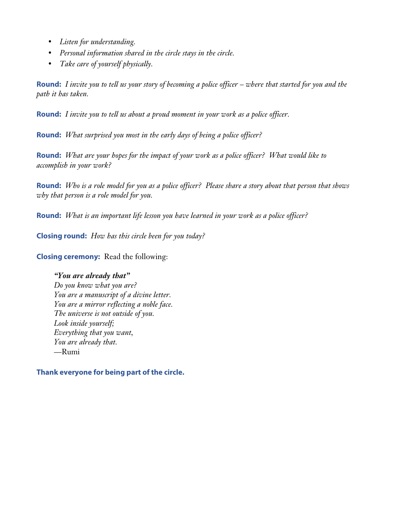- *Listen for understanding.*
- *Personal information shared in the circle stays in the circle.*
- *Take care of yourself physically.*

**Round:** *I invite you to tell us your story of becoming a police officer – where that started for you and the path it has taken.*

**Round:** *I invite you to tell us about a proud moment in your work as a police officer.*

**Round:** *What surprised you most in the early days of being a police officer?*

**Round:** *What are your hopes for the impact of your work as a police officer? What would like to accomplish in your work?*

**Round:** *Who is a role model for you as a police officer? Please share a story about that person that shows why that person is a role model for you.*

**Round:** *What is an important life lesson you have learned in your work as a police officer?*

**Closing round:** *How has this circle been for you today?*

**Closing ceremony:** Read the following:

*"You are already that" Do you know what you are? You are a manuscript of a divine letter. You are a mirror reflecting a noble face. The universe is not outside of you. Look inside yourself; Everything that you want, You are already that.* —Rumi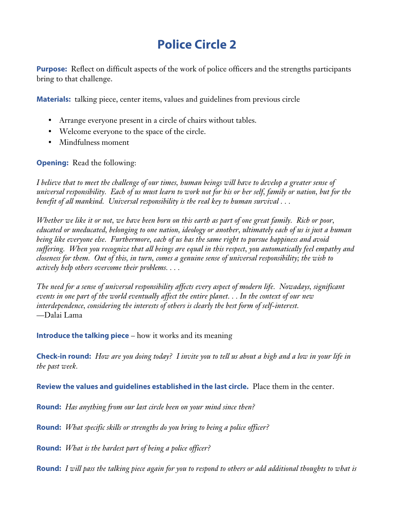# **Police Circle 2**

**Purpose:** Reflect on difficult aspects of the work of police officers and the strengths participants bring to that challenge.

**Materials:** talking piece, center items, values and guidelines from previous circle

- Arrange everyone present in a circle of chairs without tables.
- Welcome everyone to the space of the circle.
- Mindfulness moment

**Opening:** Read the following:

*I believe that to meet the challenge of our times, human beings will have to develop a greater sense of universal responsibility. Each of us must learn to work not for his or her self, family or nation, but for the benefit of all mankind. Universal responsibility is the real key to human survival . . .*

*Whether we like it or not, we have been born on this earth as part of one great family. Rich or poor, educated or uneducated, belonging to one nation, ideology or another, ultimately each of us is just a human being like everyone else. Furthermore, each of us has the same right to pursue happiness and avoid suffering. When you recognize that all beings are equal in this respect, you automatically feel empathy and closeness for them. Out of this, in turn, comes a genuine sense of universal responsibility; the wish to actively help others overcome their problems. . . .*

*The need for a sense of universal responsibility affects every aspect of modern life. Nowadays, significant events in one part of the world eventually affect the entire planet. . . In the context of our new interdependence, considering the interests of others is clearly the best form of self-interest.* —Dalai Lama

**Introduce the talking piece** – how it works and its meaning

**Check-in round:** *How are you doing today? I invite you to tell us about a high and a low in your life in the past week.*

**Review the values and guidelines established in the last circle.** Place them in the center.

**Round:** *Has anything from our last circle been on your mind since then?*

**Round:** *What specific skills or strengths do you bring to being a police officer?*

**Round:** *What is the hardest part of being a police officer?*

**Round:** *I will pass the talking piece again for you to respond to others or add additional thoughts to what is*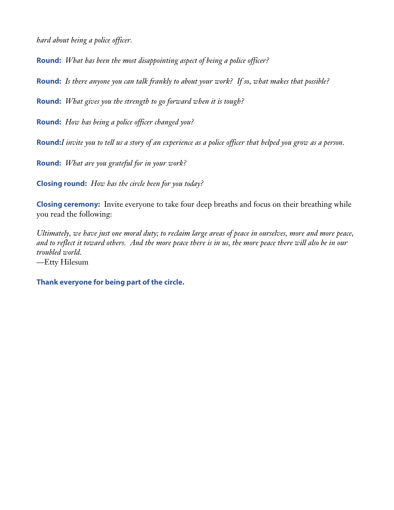*hard about being a police officer.*

**Round:** *What has been the most disappointing aspect of being a police officer?*

**Round:** *Is there anyone you can talk frankly to about your work? If so, what makes that possible?*

**Round:** *What gives you the strength to go forward when it is tough?*

**Round:** *How has being a police officer changed you?*

**Round:***I invite you to tell us a story of an experience as a police officer that helped you grow as a person.*

**Round:** *What are you grateful for in your work?*

**Closing round:** *How has the circle been for you today?*

**Closing ceremony:** Invite everyone to take four deep breaths and focus on their breathing while you read the following:

*Ultimately, we have just one moral duty; to reclaim large areas of peace in ourselves, more and more peace, and to reflect it toward others. And the more peace there is in us, the more peace there will also be in our troubled world.* —Etty Hilesum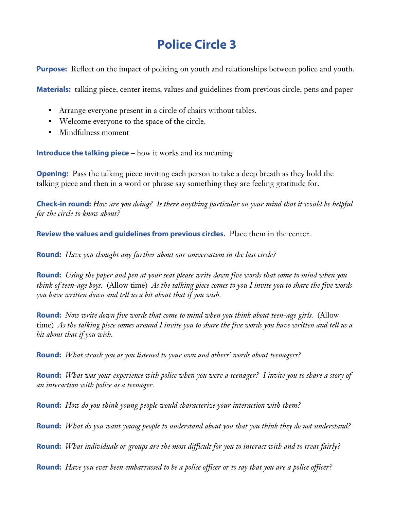### **Police Circle 3**

**Purpose:** Reflect on the impact of policing on youth and relationships between police and youth.

**Materials:** talking piece, center items, values and guidelines from previous circle, pens and paper

- Arrange everyone present in a circle of chairs without tables.
- Welcome everyone to the space of the circle.
- Mindfulness moment

**Introduce the talking piece** – how it works and its meaning

**Opening:** Pass the talking piece inviting each person to take a deep breath as they hold the talking piece and then in a word or phrase say something they are feeling gratitude for.

**Check-in round:** *How are you doing? Is there anything particular on your mind that it would be helpful for the circle to know about?*

**Review the values and guidelines from previous circles.** Place them in the center.

**Round:** *Have you thought any further about our conversation in the last circle?*

**Round:** *Using the paper and pen at your seat please write down five words that come to mind when you think of teen-age boys.* (Allow time) *As the talking piece comes to you I invite you to share the five words you have written down and tell us a bit about that if you wish.*

**Round:** *Now write down five words that come to mind when you think about teen-age girls.* (Allow time) *As the talking piece comes around I invite you to share the five words you have written and tell us a bit about that if you wish.*

**Round:** *What struck you as you listened to your own and others' words about teenagers?*

**Round:** *What was your experience with police when you were a teenager? I invite you to share a story of an interaction with police as a teenager.*

**Round:** *How do you think young people would characterize your interaction with them?*

**Round:** *What do you want young people to understand about you that you think they do not understand?*

**Round:** *What individuals or groups are the most difficult for you to interact with and to treat fairly?*

**Round:** *Have you ever been embarrassed to be a police officer or to say that you are a police officer?*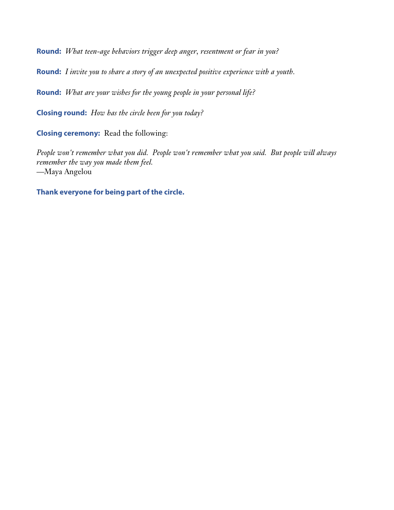**Round:** *What teen-age behaviors trigger deep anger, resentment or fear in you?*

**Round:** *I invite you to share a story of an unexpected positive experience with a youth.*

**Round:** *What are your wishes for the young people in your personal life?*

**Closing round:** *How has the circle been for you today?*

**Closing ceremony:** Read the following:

*People won't remember what you did. People won't remember what you said. But people will always remember the way you made them feel.* —Maya Angelou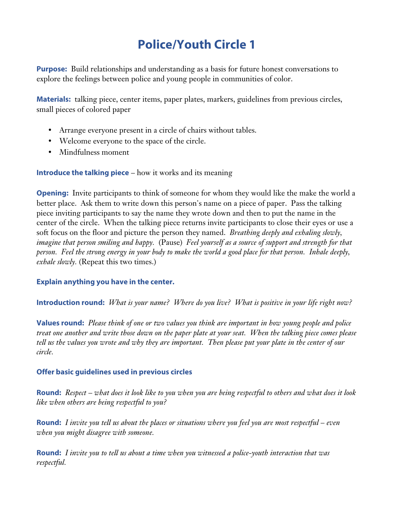# **Police/Youth Circle 1**

**Purpose:** Build relationships and understanding as a basis for future honest conversations to explore the feelings between police and young people in communities of color.

**Materials:** talking piece, center items, paper plates, markers, guidelines from previous circles, small pieces of colored paper

- Arrange everyone present in a circle of chairs without tables.
- Welcome everyone to the space of the circle.
- Mindfulness moment

**Introduce the talking piece** – how it works and its meaning

**Opening:** Invite participants to think of someone for whom they would like the make the world a better place. Ask them to write down this person's name on a piece of paper. Pass the talking piece inviting participants to say the name they wrote down and then to put the name in the center of the circle. When the talking piece returns invite participants to close their eyes or use a soft focus on the floor and picture the person they named. *Breathing deeply and exhaling slowly, imagine that person smiling and happy.* (Pause) *Feel yourself as a source of support and strength for that person. Feel the strong energy in your body to make the world a good place for that person. Inhale deeply, exhale slowly.* (Repeat this two times.)

### **Explain anything you have in the center.**

**Introduction round:** *What is your name? Where do you live? What is positive in your life right now?*

**Values round:** *Please think of one or two values you think are important in how young people and police treat one another and write those down on the paper plate at your seat. When the talking piece comes please tell us the values you wrote and why they are important. Then please put your plate in the center of our circle.*

### **Offer basic guidelines used in previous circles**

**Round:** *Respect – what does it look like to you when you are being respectful to others and what does it look like when others are being respectful to you?*

**Round:** *I invite you tell us about the places or situations where you feel you are most respectful – even when you might disagree with someone.*

**Round:** *I invite you to tell us about a time when you witnessed a police-youth interaction that was respectful.*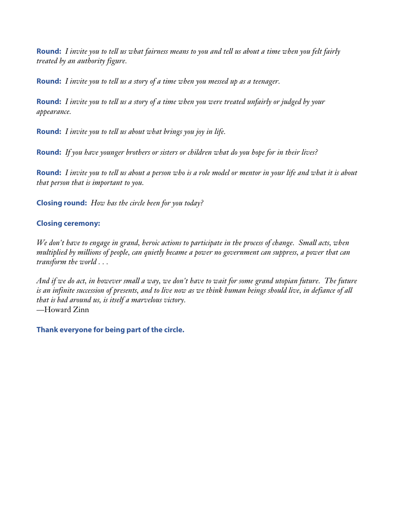**Round:** *I invite you to tell us what fairness means to you and tell us about a time when you felt fairly treated by an authority figure.*

**Round:** *I invite you to tell us a story of a time when you messed up as a teenager.*

**Round:** *I invite you to tell us a story of a time when you were treated unfairly or judged by your appearance.* 

**Round:** *I invite you to tell us about what brings you joy in life.*

**Round:** *If you have younger brothers or sisters or children what do you hope for in their lives?*

**Round:** *I invite you to tell us about a person who is a role model or mentor in your life and what it is about that person that is important to you.*

**Closing round:** *How has the circle been for you today?*

### **Closing ceremony:**

*We don't have to engage in grand, heroic actions to participate in the process of change. Small acts, when multiplied by millions of people, can quietly became a power no government can suppress, a power that can transform the world . . .*

*And if we do act, in however small a way, we don't have to wait for some grand utopian future. The future is an infinite succession of presents, and to live now as we think human beings should live, in defiance of all that is bad around us, is itself a marvelous victory.* —Howard Zinn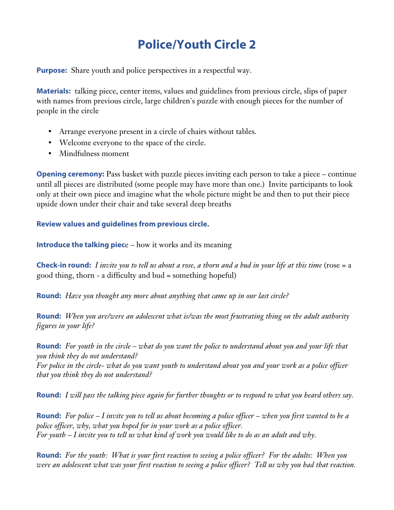# **Police/Youth Circle 2**

**Purpose:** Share youth and police perspectives in a respectful way.

**Materials:** talking piece, center items, values and guidelines from previous circle, slips of paper with names from previous circle, large children's puzzle with enough pieces for the number of people in the circle

- Arrange everyone present in a circle of chairs without tables.
- Welcome everyone to the space of the circle.
- Mindfulness moment

**Opening ceremony:** Pass basket with puzzle pieces inviting each person to take a piece – continue until all pieces are distributed (some people may have more than one.) Invite participants to look only at their own piece and imagine what the whole picture might be and then to put their piece upside down under their chair and take several deep breaths

**Review values and guidelines from previous circle.**

**Introduce the talking piece** – how it works and its meaning

**Check-in round:** *I invite you to tell us about a rose, a thorn and a bud in your life at this time* (rose = a good thing, thorn - a difficulty and bud = something hopeful)

**Round:** *Have you thought any more about anything that came up in our last circle?*

**Round:** *When you are/were an adolescent what is/was the most frustrating thing on the adult authority figures in your life?*

**Round:** *For youth in the circle – what do you want the police to understand about you and your life that you think they do not understand?*

*For police in the circle- what do you want youth to understand about you and your work as a police officer that you think they do not understand?*

**Round:** *I will pass the talking piece again for further thoughts or to respond to what you heard others say.*

**Round:** *For police – I invite you to tell us about becoming a police officer – when you first wanted to be a police officer, why, what you hoped for in your work as a police officer. For youth – I invite you to tell us what kind of work you would like to do as an adult and why.*

**Round:** *For the youth: What is your first reaction to seeing a police officer? For the adults: When you were an adolescent what was your first reaction to seeing a police officer? Tell us why you had that reaction.*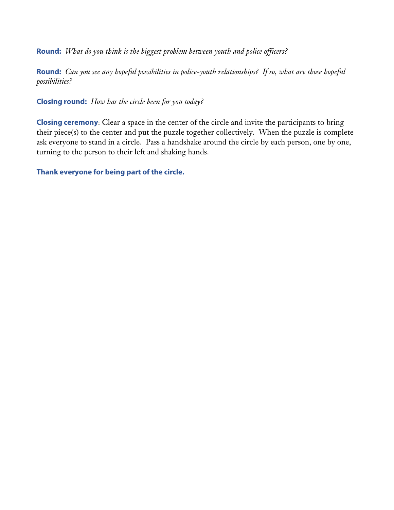**Round:** *What do you think is the biggest problem between youth and police officers?*

**Round:** *Can you see any hopeful possibilities in police-youth relationships? If so, what are those hopeful possibilities?* 

**Closing round:** *How has the circle been for you today?*

**Closing ceremony**: Clear a space in the center of the circle and invite the participants to bring their piece(s) to the center and put the puzzle together collectively. When the puzzle is complete ask everyone to stand in a circle. Pass a handshake around the circle by each person, one by one, turning to the person to their left and shaking hands.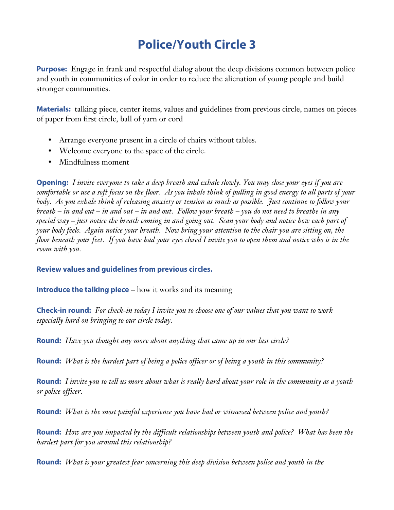# **Police/Youth Circle 3**

**Purpose:** Engage in frank and respectful dialog about the deep divisions common between police and youth in communities of color in order to reduce the alienation of young people and build stronger communities.

**Materials:** talking piece, center items, values and guidelines from previous circle, names on pieces of paper from first circle, ball of yarn or cord

- Arrange everyone present in a circle of chairs without tables.
- Welcome everyone to the space of the circle.
- Mindfulness moment

**Opening:** *I invite everyone to take a deep breath and exhale slowly. You may close your eyes if you are comfortable or use a soft focus on the floor. As you inhale think of pulling in good energy to all parts of your body. As you exhale think of releasing anxiety or tension as much as possible. Just continue to follow your breath – in and out – in and out – in and out. Follow your breath – you do not need to breathe in any special way – just notice the breath coming in and going out. Scan your body and notice how each part of your body feels. Again notice your breath. Now bring your attention to the chair you are sitting on, the floor beneath your feet. If you have had your eyes closed I invite you to open them and notice who is in the room with you.* 

### **Review values and guidelines from previous circles.**

### **Introduce the talking piece** – how it works and its meaning

**Check-in round:** *For check-in today I invite you to choose one of our values that you want to work especially hard on bringing to our circle today.*

**Round:** *Have you thought any more about anything that came up in our last circle?*

**Round:** *What is the hardest part of being a police officer or of being a youth in this community?*

**Round:** *I invite you to tell us more about what is really hard about your role in the community as a youth or police officer.*

**Round:** *What is the most painful experience you have had or witnessed between police and youth?*

**Round:** *How are you impacted by the difficult relationships between youth and police? What has been the hardest part for you around this relationship?*

**Round:** *What is your greatest fear concerning this deep division between police and youth in the*